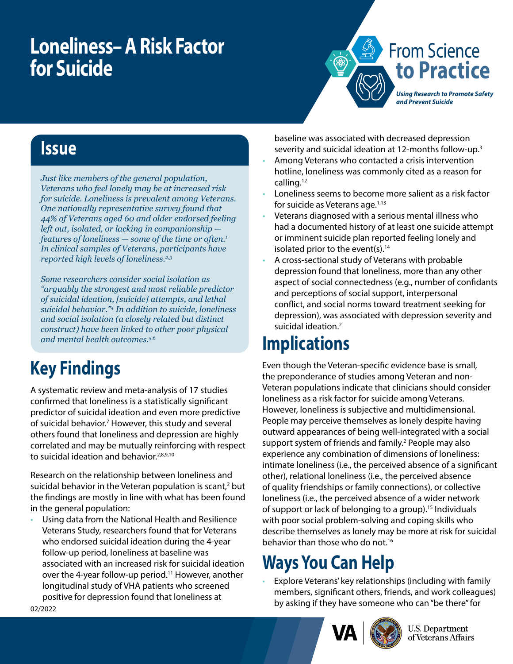# **Loneliness– A Risk Factor for Suicide**



#### **Issue**

*Just like members of the general population, Veterans who feel lonely may be at increased risk for suicide. Loneliness is prevalent among Veterans. One nationally representative survey found that 44% of Veterans aged 60 and older endorsed feeling left out, isolated, or lacking in companionship features of loneliness — some of the time or often.1 In clinical samples of Veterans, participants have reported high levels of loneliness.2,3*

*Some researchers consider social isolation as "arguably the strongest and most reliable predictor of suicidal ideation, [suicide] attempts, and lethal suicidal behavior."4 In addition to suicide, loneliness and social isolation (a closely related but distinct construct) have been linked to other poor physical and mental health outcomes.5,6*

## **Key Findings**

A systematic review and meta-analysis of 17 studies confirmed that loneliness is a statistically significant predictor of suicidal ideation and even more predictive of suicidal behavior.<sup>7</sup> However, this study and several others found that loneliness and depression are highly correlated and may be mutually reinforcing with respect to suicidal ideation and behavior.<sup>2,8,9,10</sup>

Research on the relationship between loneliness and suicidal behavior in the Veteran population is scant, $2$  but the findings are mostly in line with what has been found in the general population:

• Using data from the National Health and Resilience Veterans Study, researchers found that for Veterans who endorsed suicidal ideation during the 4-year follow-up period, loneliness at baseline was associated with an increased risk for suicidal ideation over the 4-year follow-up period.<sup>11</sup> However, another longitudinal study of VHA patients who screened positive for depression found that loneliness at

baseline was associated with decreased depression severity and suicidal ideation at 12-months follow-up.3

- Among Veterans who contacted a crisis intervention hotline, loneliness was commonly cited as a reason for calling.12
- Loneliness seems to become more salient as a risk factor for suicide as Veterans age.<sup>1,13</sup>
- Veterans diagnosed with a serious mental illness who had a documented history of at least one suicide attempt or imminent suicide plan reported feeling lonely and isolated prior to the event(s). $14$
- A cross-sectional study of Veterans with probable depression found that loneliness, more than any other aspect of social connectedness (e.g., number of confidants and perceptions of social support, interpersonal conflict, and social norms toward treatment seeking for depression), was associated with depression severity and suicidal ideation.<sup>2</sup>

### **Implications**

Even though the Veteran-specific evidence base is small, the preponderance of studies among Veteran and non-Veteran populations indicate that clinicians should consider loneliness as a risk factor for suicide among Veterans. However, loneliness is subjective and multidimensional. People may perceive themselves as lonely despite having outward appearances of being well-integrated with a social support system of friends and family.<sup>2</sup> People may also experience any combination of dimensions of loneliness: intimate loneliness (i.e., the perceived absence of a significant other), relational loneliness (i.e., the perceived absence of quality friendships or family connections), or collective loneliness (i.e., the perceived absence of a wider network of support or lack of belonging to a group).15 Individuals with poor social problem-solving and coping skills who describe themselves as lonely may be more at risk for suicidal behavior than those who do not.16

# **Ways You Can Help**

• Explore Veterans' key relationships (including with family members, significant others, friends, and work colleagues) by asking if they have someone who can "be there" for